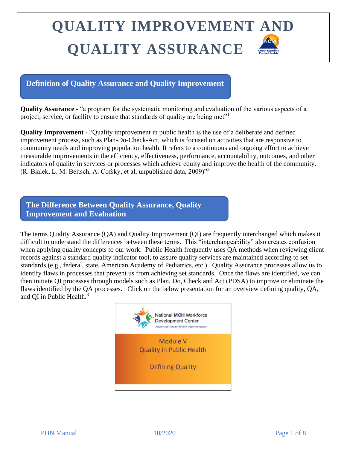#### **Definition of Quality Assurance and Quality Improvement**

**Quality Assurance -** "a program for the systematic monitoring and evaluation of the various aspects of a project, service, or facility to ensure that standards of quality are being met"<sup>1</sup>

**Quality Improvement -** "Quality improvement in public health is the use of a deliberate and defined improvement process, such as Plan-Do-Check-Act, which is focused on activities that are responsive to community needs and improving population health. It refers to a continuous and ongoing effort to achieve measurable improvements in the efficiency, effectiveness, performance, accountability, outcomes, and other indicators of quality in services or processes which achieve equity and improve the health of the community. (R. Bialek, L. M. Beitsch, A. Cofsky, et al, unpublished data, 2009)"<sup>2</sup>

**The Difference Between Quality Assurance, Quality Improvement and Evaluation**

The terms Quality Assurance (QA) and Quality Improvement (QI) are frequently interchanged which makes it difficult to understand the differences between these terms. This "interchangeability" also creates confusion when applying quality concepts to our work. Public Health frequently uses QA methods when reviewing client records against a standard quality indicator tool, to assure quality services are maintained according to set standards (e.g., federal, state, American Academy of Pediatrics, etc.). Quality Assurance processes allow us to identify flaws in processes that prevent us from achieving set standards. Once the flaws are identified, we can then initiate QI processes through models such as Plan, Do, Check and Act (PDSA) to improve or eliminate the flaws identified by the QA processes. Click on the below presentation for an overview defining quality, QA, and QI in Public Health.<sup>3</sup>

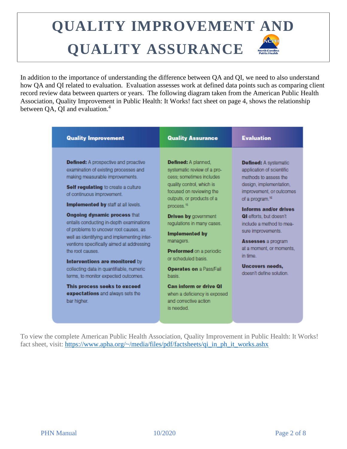In addition to the importance of understanding the difference between QA and QI, we need to also understand how QA and QI related to evaluation. Evaluation assesses work at defined data points such as comparing client record review data between quarters or years. The following diagram taken from the American Public Health Association, Quality Improvement in Public Health: It Works! fact sheet on page 4, shows the relationship between OA, OI and evaluation.<sup>4</sup>

| <b>Quality Improvement</b>                                                                                                                                                                                                                                                                                                                                                                                                                                                                                                                                                                                                                                                                | <b>Quality Assurance</b>                                                                                                                                                                                                                                                                                                                                                                                                                                                                                | <b>Evaluation</b>                                                                                                                                                                                                                                                                                                                                                                                         |
|-------------------------------------------------------------------------------------------------------------------------------------------------------------------------------------------------------------------------------------------------------------------------------------------------------------------------------------------------------------------------------------------------------------------------------------------------------------------------------------------------------------------------------------------------------------------------------------------------------------------------------------------------------------------------------------------|---------------------------------------------------------------------------------------------------------------------------------------------------------------------------------------------------------------------------------------------------------------------------------------------------------------------------------------------------------------------------------------------------------------------------------------------------------------------------------------------------------|-----------------------------------------------------------------------------------------------------------------------------------------------------------------------------------------------------------------------------------------------------------------------------------------------------------------------------------------------------------------------------------------------------------|
| <b>Defined:</b> A prospective and proactive<br>examination of existing processes and<br>making measurable improvements.<br>Self regulating to create a culture<br>of continuous improvement.<br>Implemented by staff at all levels.<br><b>Ongoing dynamic process that</b><br>entails conducting in-depth examinations<br>of problems to uncover root causes, as<br>well as identifying and implementing inter-<br>ventions specifically aimed at addressing<br>the root causes.<br>Interventions are monitored by<br>collecting data in quantifiable, numeric<br>terms, to monitor expected outcomes.<br>This process seeks to exceed<br>expectations and always sets the<br>bar higher. | Defined: A planned.<br>systematic review of a pro-<br>cess: sometimes includes<br>quality control, which is<br>focused on reviewing the<br>outputs, or products of a<br>process. <sup>15</sup><br><b>Driven by government</b><br>regulations in many cases.<br><b>Implemented by</b><br>managers.<br><b>Preformed</b> on a periodic<br>or scheduled basis<br><b>Operates on a Pass/Fail</b><br>hasis.<br>Can inform or drive OI<br>when a deficiency is exposed<br>and corrective action.<br>is needed. | <b>Defined: A systematic</b><br>application of scientific<br>mathods to assess the<br>design, implementation,<br>improvement, or outcomes<br>of a program. <sup>16</sup><br>Informs and/or drives<br><b>QI</b> efforts, but doesn't<br>include a method to mea-<br>sure improvements.<br><b>Assesses</b> a program<br>at a moment, or moments,<br>in time.<br>Uncovers needs,<br>doesn't define solution. |

To view the complete American Public Health Association, Quality Improvement in Public Health: It Works! fact sheet, visit: [https://www.apha.org/~/media/files/pdf/factsheets/qi\\_in\\_ph\\_it\\_works.ashx](https://www.apha.org/~/media/files/pdf/factsheets/qi_in_ph_it_works.ashx)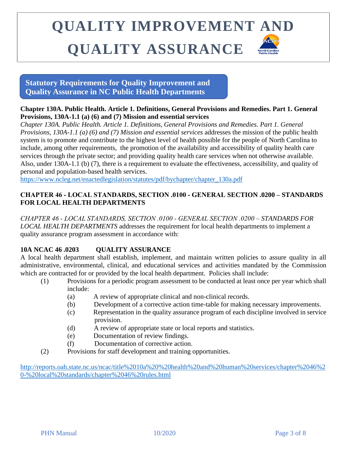**Statutory Requirements for Quality Improvement and Quality Assurance in NC Public Health Departments**

#### **Chapter 130A. Public Health. Article 1. Definitions, General Provisions and Remedies. Part 1. General Provisions, 130A-1.1 (a) (6) and (7) Mission and essential services**

*Chapter 130A. Public Health. Article 1. Definitions, General Provisions and Remedies. Part 1. General Provisions, 130A-1.1 (a) (6) and (7) Mission and essential services* addresses the mission of the public health system is to promote and contribute to the highest level of health possible for the people of North Carolina to include, among other requirements, the promotion of the availability and accessibility of quality health care services through the private sector; and providing quality health care services when not otherwise available. Also, under 130A-1.1 (b) (7), there is a requirement to evaluate the effectiveness, accessibility, and quality of personal and population-based health services.

[https://www.ncleg.net/enactedlegislation/statutes/pdf/bychapter/chapter\\_130a.pdf](https://www.ncleg.net/enactedlegislation/statutes/pdf/bychapter/chapter_130a.pdf)

#### **CHAPTER 46 ‑ LOCAL STANDARDS, SECTION .0100 ‑ GENERAL SECTION .0200 – STANDARDS FOR LOCAL HEALTH DEPARTMENTS**

*CHAPTER 46 ‑ LOCAL STANDARDS, SECTION .0100 ‑ GENERAL SECTION .0200 – STANDARDS FOR LOCAL HEALTH DEPARTMENTS* addresses the requirement for local health departments to implement a quality assurance program assessment in accordance with:

#### **10A NCAC 46 .0203 OUALITY ASSURANCE**

A local health department shall establish, implement, and maintain written policies to assure quality in all administrative, environmental, clinical, and educational services and activities mandated by the Commission which are contracted for or provided by the local health department. Policies shall include:

- (1) Provisions for a periodic program assessment to be conducted at least once per year which shall include:
	- (a) A review of appropriate clinical and non-clinical records.
	- (b) Development of a corrective action time-table for making necessary improvements.
	- (c) Representation in the quality assurance program of each discipline involved in service provision.
	- (d) A review of appropriate state or local reports and statistics.
	- (e) Documentation of review findings.
	- (f) Documentation of corrective action.
- (2) Provisions for staff development and training opportunities.

[http://reports.oah.state.nc.us/ncac/title%2010a%20%20health%20and%20human%20services/chapter%2046%2](http://reports.oah.state.nc.us/ncac/title%2010a%20-%20health%20and%20human%20services/chapter%2046%20-%20local%20standards/chapter%2046%20rules.html) [0-%20local%20standards/chapter%2046%20rules.html](http://reports.oah.state.nc.us/ncac/title%2010a%20-%20health%20and%20human%20services/chapter%2046%20-%20local%20standards/chapter%2046%20rules.html)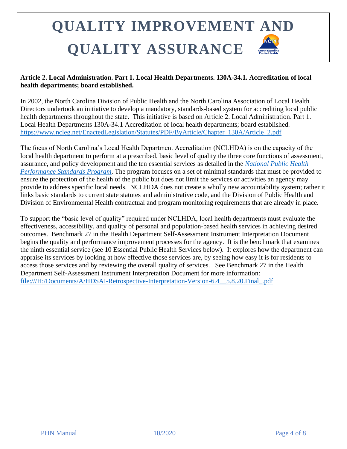#### **Article 2. Local Administration. Part 1. Local Health Departments. 130A-34.1. Accreditation of local health departments; board established.**

In 2002, the North Carolina Division of Public Health and the North Carolina Association of Local Health Directors undertook an initiative to develop a mandatory, standards-based system for accrediting local public health departments throughout the state. This initiative is based on Article 2. Local Administration. Part 1. Local Health Departments 130A-34.1 Accreditation of local health departments; board established. [https://www.ncleg.net/EnactedLegislation/Statutes/PDF/ByArticle/Chapter\\_130A/Article\\_2.pdf](https://www.ncleg.net/EnactedLegislation/Statutes/PDF/ByArticle/Chapter_130A/Article_2.pdf)

The focus of North Carolina's Local Health Department Accreditation (NCLHDA) is on the capacity of the local health department to perform at a prescribed, basic level of quality the three core functions of assessment, assurance, and policy development and the ten essential services as detailed in the *[National Public Health](http://www.cdc.gov/od/ocphp/nphpsp)  [Performance Standards Program](http://www.cdc.gov/od/ocphp/nphpsp)*. The program focuses on a set of minimal standards that must be provided to ensure the protection of the health of the public but does not limit the services or activities an agency may provide to address specific local needs. NCLHDA does not create a wholly new accountability system; rather it links basic standards to current state statutes and administrative code, and the Division of Public Health and Division of Environmental Health contractual and program monitoring requirements that are already in place.

To support the "basic level of quality" required under NCLHDA, local health departments must evaluate the effectiveness, accessibility, and quality of personal and population-based health services in achieving desired outcomes. Benchmark 27 in the Health Department Self-Assessment Instrument Interpretation Document begins the quality and performance improvement processes for the agency. It is the benchmark that examines the ninth essential service (see 10 Essential Public Health Services below). It explores how the department can appraise its services by looking at how effective those services are, by seeing how easy it is for residents to access those services and by reviewing the overall quality of services. See Benchmark 27 in the Health Department Self-Assessment Instrument Interpretation Document for more information: [file:///H:/Documents/A/HDSAI-Retrospective-Interpretation-Version-6.4\\_\\_5.8.20.Final\\_.pdf](file://///WV5DPHSIXFP01P.eads.ncads.net/HOME/cmhemric1/Documents/A/HDSAI-Retrospective-Interpretation-Version-6.4__5.8.20.Final_.pdf)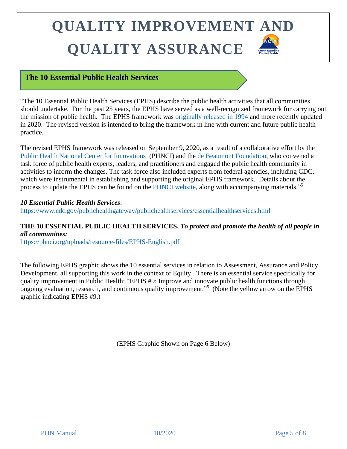### **The 10 Essential Public Health Services**

"The 10 Essential Public Health Services (EPHS) describe the public health activities that all communities should undertake. For the past 25 years, the EPHS have served as a well-recognized framework for carrying out the mission of public health. The EPHS framework was [originally released in 1994](https://www.cdc.gov/publichealthgateway/publichealthservices/originalessentialhealthservices.html) and more recently updated in 2020. The revised version is intended to bring the framework in line with current and future public health practice.

The revised EPHS framework was released on September 9, 2020, as a result of a collaborative effort by the [Public Health National Center for Innovations](http://www.phnci.org/) (PHNCI) and the [de Beaumont Foundation,](https://www.debeaumont.org/) who convened a task force of public health experts, leaders, and practitioners and engaged the public health community in activities to inform the changes. The task force also included experts from federal agencies, including CDC, which were instrumental in establishing and supporting the original EPHS framework. Details about the process to update the EPHS can be found on the **PHNCI** website, along with accompanying materials."<sup>5</sup>

*10 Essential Public Health Services*: <https://www.cdc.gov/publichealthgateway/publichealthservices/essentialhealthservices.html>

### **THE 10 ESSENTIAL PUBLIC HEALTH SERVICES,** *To protect and promote the health of all people in all communities:*

<https://phnci.org/uploads/resource-files/EPHS-English.pdf>

The following EPHS graphic shows the 10 essential services in relation to Assessment, Assurance and Policy Development, all supporting this work in the context of Equity. There is an essential service specifically for quality improvement in Public Health: "EPHS #9: Improve and innovate public health functions through ongoing evaluation, research, and continuous quality improvement."<sup>5</sup> (Note the yellow arrow on the EPHS graphic indicating EPHS #9.)

(EPHS Graphic Shown on Page 6 Below)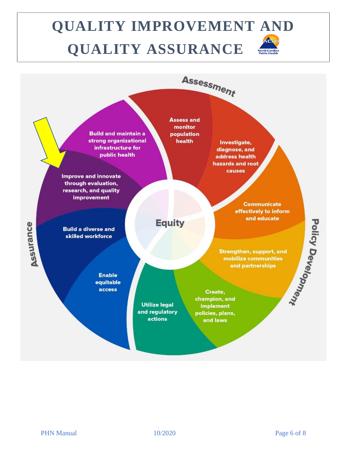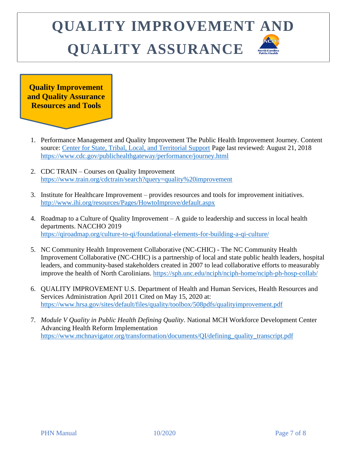**Quality Improvement and Quality Assurance Resources and Tools**

- 1. Performance Management and Quality Improvement The Public Health Improvement Journey. Content source: [Center for State, Tribal, Local, and Territorial Support](https://www.cdc.gov/publichealthgateway/index.html) Page last reviewed: August 21, 2018 <https://www.cdc.gov/publichealthgateway/performance/journey.html>
- 2. CDC TRAIN Courses on Quality Improvement <https://www.train.org/cdctrain/search?query=quality%20improvement>
- 3. Institute for Healthcare Improvement provides resources and tools for improvement initiatives. <http://www.ihi.org/resources/Pages/HowtoImprove/default.aspx>
- 4. Roadmap to a Culture of Quality Improvement A guide to leadership and success in local health departments. NACCHO 2019 <https://qiroadmap.org/culture-to-qi/foundational-elements-for-building-a-qi-culture/>
- 5. NC Community Health Improvement Collaborative (NC-CHIC) The NC Community Health Improvement Collaborative (NC-CHIC) is a partnership of local and state public health leaders, hospital leaders, and community-based stakeholders created in 2007 to lead collaborative efforts to measurably improve the health of North Carolinians.<https://sph.unc.edu/nciph/nciph-home/nciph-ph-hosp-collab/>
- 6. QUALITY IMPROVEMENT U.S. Department of Health and Human Services, Health Resources and Services Administration April 2011 Cited on May 15, 2020 at: <https://www.hrsa.gov/sites/default/files/quality/toolbox/508pdfs/qualityimprovement.pdf>
- 7. *Module V Quality in Public Health Defining Quality*. National MCH Workforce Development Center Advancing Health Reform Implementation [https://www.mchnavigator.org/transformation/documents/QI/defining\\_quality\\_transcript.pdf](https://www.mchnavigator.org/transformation/documents/QI/defining_quality_transcript.pdf)